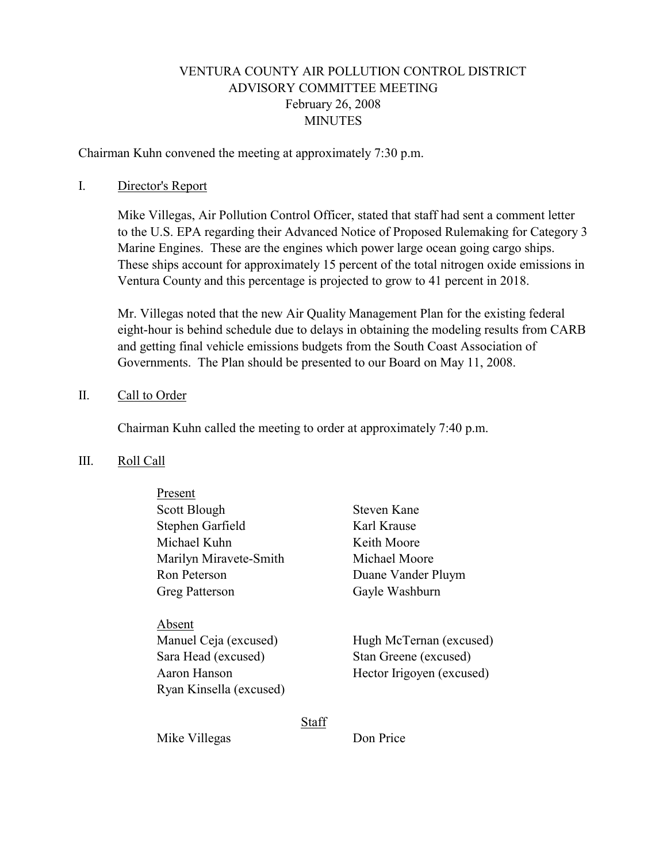# VENTURA COUNTY AIR POLLUTION CONTROL DISTRICT ADVISORY COMMITTEE MEETING February 26, 2008 **MINUTES**

Chairman Kuhn convened the meeting at approximately 7:30 p.m.

#### I. Director's Report

Mike Villegas, Air Pollution Control Officer, stated that staff had sent a comment letter to the U.S. EPA regarding their Advanced Notice of Proposed Rulemaking for Category 3 Marine Engines. These are the engines which power large ocean going cargo ships. These ships account for approximately 15 percent of the total nitrogen oxide emissions in Ventura County and this percentage is projected to grow to 41 percent in 2018.

Mr. Villegas noted that the new Air Quality Management Plan for the existing federal eight-hour is behind schedule due to delays in obtaining the modeling results from CARB and getting final vehicle emissions budgets from the South Coast Association of Governments. The Plan should be presented to our Board on May 11, 2008.

## II. Call to Order

Chairman Kuhn called the meeting to order at approximately 7:40 p.m.

#### III. Roll Call

| Present                                                                |       |                                                                               |
|------------------------------------------------------------------------|-------|-------------------------------------------------------------------------------|
| Scott Blough                                                           |       | Steven Kane                                                                   |
| Stephen Garfield                                                       |       | Karl Krause                                                                   |
| Michael Kuhn                                                           |       | Keith Moore                                                                   |
| Marilyn Miravete-Smith                                                 |       | Michael Moore                                                                 |
| Ron Peterson                                                           |       | Duane Vander Pluym                                                            |
| <b>Greg Patterson</b>                                                  |       | Gayle Washburn                                                                |
| Absent<br>Manuel Ceja (excused)<br>Sara Head (excused)<br>Aaron Hanson |       | Hugh McTernan (excused)<br>Stan Greene (excused)<br>Hector Irigoyen (excused) |
| Ryan Kinsella (excused)                                                |       |                                                                               |
|                                                                        | Stafi |                                                                               |

Mike Villegas Don Price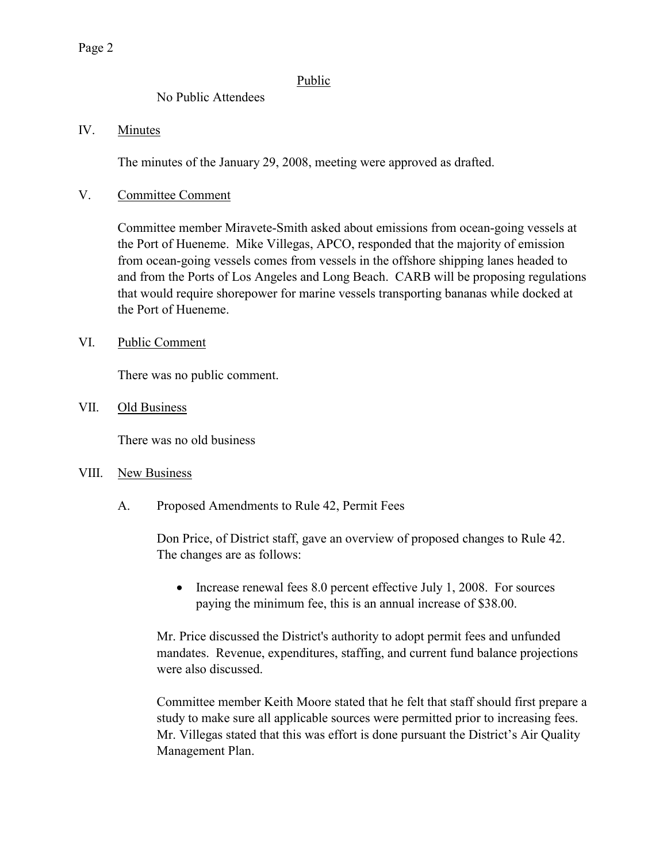## **Public**

## No Public Attendees

## IV. Minutes

The minutes of the January 29, 2008, meeting were approved as drafted.

## V. Committee Comment

Committee member Miravete-Smith asked about emissions from ocean-going vessels at the Port of Hueneme. Mike Villegas, APCO, responded that the majority of emission from ocean-going vessels comes from vessels in the offshore shipping lanes headed to and from the Ports of Los Angeles and Long Beach. CARB will be proposing regulations that would require shorepower for marine vessels transporting bananas while docked at the Port of Hueneme.

## VI. Public Comment

There was no public comment.

## VII. Old Business

There was no old business

#### VIII. New Business

A. Proposed Amendments to Rule 42, Permit Fees

Don Price, of District staff, gave an overview of proposed changes to Rule 42. The changes are as follows:

• Increase renewal fees 8.0 percent effective July 1, 2008. For sources paying the minimum fee, this is an annual increase of \$38.00.

Mr. Price discussed the District's authority to adopt permit fees and unfunded mandates. Revenue, expenditures, staffing, and current fund balance projections were also discussed.

Committee member Keith Moore stated that he felt that staff should first prepare a study to make sure all applicable sources were permitted prior to increasing fees. Mr. Villegas stated that this was effort is done pursuant the District's Air Quality Management Plan.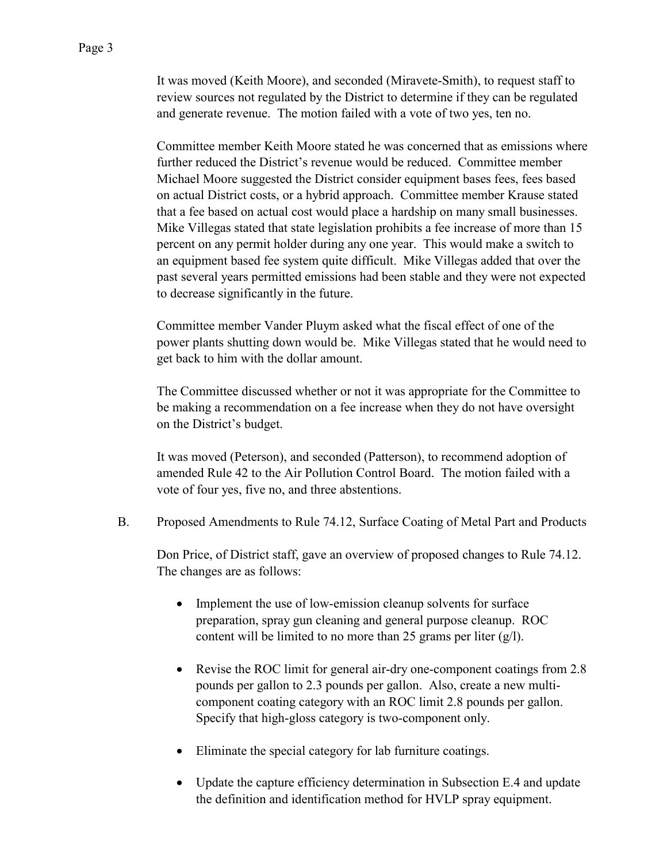It was moved (Keith Moore), and seconded (Miravete-Smith), to request staff to review sources not regulated by the District to determine if they can be regulated and generate revenue. The motion failed with a vote of two yes, ten no.

Committee member Keith Moore stated he was concerned that as emissions where further reduced the District's revenue would be reduced. Committee member Michael Moore suggested the District consider equipment bases fees, fees based on actual District costs, or a hybrid approach. Committee member Krause stated that a fee based on actual cost would place a hardship on many small businesses. Mike Villegas stated that state legislation prohibits a fee increase of more than 15 percent on any permit holder during any one year. This would make a switch to an equipment based fee system quite difficult. Mike Villegas added that over the past several years permitted emissions had been stable and they were not expected to decrease significantly in the future.

Committee member Vander Pluym asked what the fiscal effect of one of the power plants shutting down would be. Mike Villegas stated that he would need to get back to him with the dollar amount.

The Committee discussed whether or not it was appropriate for the Committee to be making a recommendation on a fee increase when they do not have oversight on the District's budget.

It was moved (Peterson), and seconded (Patterson), to recommend adoption of amended Rule 42 to the Air Pollution Control Board. The motion failed with a vote of four yes, five no, and three abstentions.

B. Proposed Amendments to Rule 74.12, Surface Coating of Metal Part and Products

Don Price, of District staff, gave an overview of proposed changes to Rule 74.12. The changes are as follows:

- Implement the use of low-emission cleanup solvents for surface preparation, spray gun cleaning and general purpose cleanup. ROC content will be limited to no more than 25 grams per liter (g/l).
- Revise the ROC limit for general air-dry one-component coatings from 2.8 pounds per gallon to 2.3 pounds per gallon. Also, create a new multicomponent coating category with an ROC limit 2.8 pounds per gallon. Specify that high-gloss category is two-component only.
- Eliminate the special category for lab furniture coatings.
- Update the capture efficiency determination in Subsection E.4 and update the definition and identification method for HVLP spray equipment.